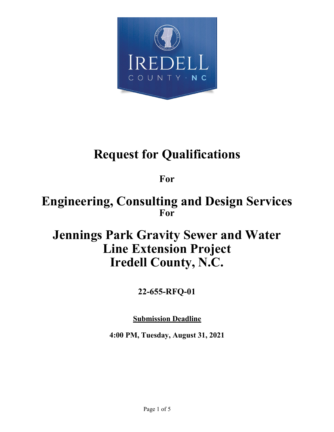

# **Request for Qualifications**

**For**

## **Engineering, Consulting and Design Services For**

## **Jennings Park Gravity Sewer and Water Line Extension Project Iredell County, N.C.**

## **22-655-RFQ-01**

**Submission Deadline**

**4:00 PM, Tuesday, August 31, 2021**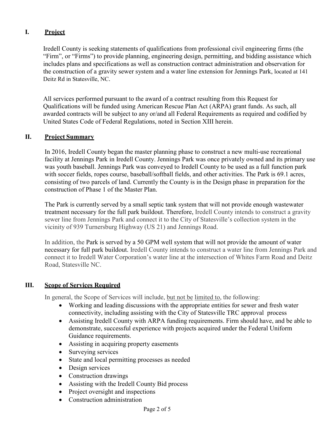## **I. Project**

Iredell County is seeking statements of qualifications from professional civil engineering firms (the "Firm", or "Firms") to provide planning, engineering design, permitting, and bidding assistance which includes plans and specifications as well as construction contract administration and observation for the construction of a gravity sewer system and a water line extension for Jennings Park, located at 141 Deitz Rd in Statesville, NC.

All services performed pursuant to the award of a contract resulting from this Request for Qualifications will be funded using American Rescue Plan Act (ARPA) grant funds. As such, all awarded contracts will be subject to any or/and all Federal Requirements as required and codified by United States Code of Federal Regulations, noted in Section XIII herein.

## **II. Project Summary**

In 2016, Iredell County began the master planning phase to construct a new multi-use recreational facility at Jennings Park in Iredell County. Jennings Park was once privately owned and its primary use was youth baseball. Jennings Park was conveyed to Iredell County to be used as a full function park with soccer fields, ropes course, baseball/softball fields, and other activities. The Park is 69.1 acres, consisting of two parcels of land. Currently the County is in the Design phase in preparation for the construction of Phase 1 of the Master Plan.

The Park is currently served by a small septic tank system that will not provide enough wastewater treatment necessary for the full park buildout. Therefore, Iredell County intends to construct a gravity sewer line from Jennings Park and connect it to the City of Statesville's collection system in the vicinity of 939 Turnersburg Highway (US 21) and Jennings Road.

In addition, the Park is served by a 50 GPM well system that will not provide the amount of water necessary for full park buildout. Iredell County intends to construct a water line from Jennings Park and connect it to Iredell Water Corporation's water line at the intersection of Whites Farm Road and Deitz Road, Statesville NC.

## **III. Scope of Services Required**

In general, the Scope of Services will include, but not be limited to, the following:

- Working and leading discussions with the appropriate entities for sewer and fresh water connectivity, including assisting with the City of Statesville TRC approval process
- Assisting Iredell County with ARPA funding requirements. Firm should have, and be able to demonstrate, successful experience with projects acquired under the Federal Uniform Guidance requirements.
- Assisting in acquiring property easements
- Surveying services
- State and local permitting processes as needed
- Design services
- Construction drawings
- Assisting with the Iredell County Bid process
- Project oversight and inspections
- Construction administration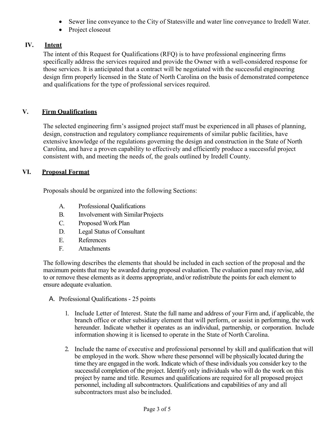- Sewer line conveyance to the City of Statesville and water line conveyance to Iredell Water.
- Project closeout

## **IV. Intent**

The intent of this Request for Qualifications (RFQ) is to have professional engineering firms specifically address the services required and provide the Owner with a well-considered response for those services. It is anticipated that a contract will be negotiated with the successful engineering design firm properly licensed in the State of North Carolina on the basis of demonstrated competence and qualifications for the type of professional services required.

## **V. Firm Qualifications**

The selected engineering firm's assigned project staff must be experienced in all phases of planning, design, construction and regulatory compliance requirements of similar public facilities, have extensive knowledge of the regulations governing the design and construction in the State of North Carolina, and have a proven capability to effectively and efficiently produce a successful project consistent with, and meeting the needs of, the goals outlined by Iredell County.

## **VI. Proposal Format**

Proposals should be organized into the following Sections:

- A. Professional Qualifications
- B. Involvement with Similar Projects
- C. Proposed Work Plan
- D. Legal Status of Consultant
- E. References
- F. Attachments

The following describes the elements that should be included in each section of the proposal and the maximum points that may be awarded during proposal evaluation. The evaluation panel may revise, add to or remove these elements as it deems appropriate, and/or redistribute the points for each element to ensure adequate evaluation.

- A. Professional Qualifications 25 points
	- 1. Include Letter of Interest. State the full name and address of your Firm and, if applicable, the branch office or other subsidiary element that will perform, or assist in performing, the work hereunder. Indicate whether it operates as an individual, partnership, or corporation. Include information showing it is licensed to operate in the State of North Carolina.
	- 2. Include the name of executive and professional personnel by skill and qualification that will be employed in the work. Show where these personnel will be physically located during the time they are engaged in the work. Indicate which of these individuals you consider key to the successful completion of the project. Identify only individuals who will do the work on this project by name and title. Resumes and qualifications are required for all proposed project personnel, including all subcontractors. Qualifications and capabilities of any and all subcontractors must also be included.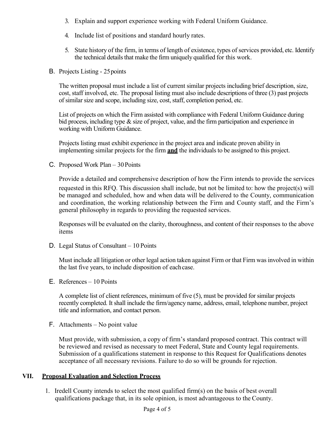- 3. Explain and support experience working with Federal Uniform Guidance.
- 4. Include list of positions and standard hourly rates.
- 5. State history of the firm, in terms of length of existence, types of services provided, etc. Identify the technical details that make the firm uniquely qualified for this work.
- B. Projects Listing 25points

The written proposal must include a list of current similar projects including brief description, size, cost, staff involved, etc. The proposal listing must also include descriptions of three (3) past projects of similar size and scope, including size, cost, staff, completion period, etc.

List of projects on which the Firm assisted with compliance with Federal Uniform Guidance during bid process, including type & size of project, value, and the firm participation and experience in working with Uniform Guidance.

Projects listing must exhibit experience in the project area and indicate proven ability in implementing similar projects for the firm **and** the individuals to be assigned to this project.

C. Proposed Work Plan – 30Points

Provide a detailed and comprehensive description of how the Firm intends to provide the services requested in this RFQ. This discussion shall include, but not be limited to: how the project(s) will be managed and scheduled, how and when data will be delivered to the County, communication and coordination, the working relationship between the Firm and County staff, and the Firm's general philosophy in regards to providing the requested services.

Responses will be evaluated on the clarity, thoroughness, and content of their responses to the above items

D. Legal Status of Consultant – 10 Points

Must include all litigation or other legal action taken against Firm or that Firm was involved in within the last five years, to include disposition of eachcase.

E. References – 10 Points

A complete list of client references, minimum of five (5), must be provided for similar projects recently completed. It shall include the firm/agency name, address, email, telephone number, project title and information, and contact person.

F. Attachments – No point value

Must provide, with submission, a copy of firm's standard proposed contract. This contract will be reviewed and revised as necessary to meet Federal, State and County legal requirements. Submission of a qualifications statement in response to this Request for Qualifications denotes acceptance of all necessary revisions. Failure to do so will be grounds for rejection.

## **VII. Proposal Evaluation and Selection Process**

1. Iredell County intends to select the most qualified firm(s) on the basis of best overall qualifications package that, in its sole opinion, is most advantageous to the County.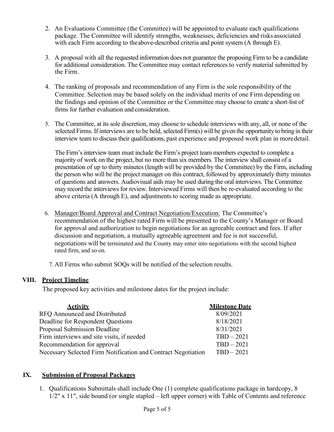- 2. An Evaluations Committee (the Committee) will be appointed to evaluate each qualifications package. The Committee will identify strengths, weaknesses, deficiencies and risks associated with each Firm according to theabove-described criteria and point system (A through E).
- 3. A proposal with all the requested information does not guarantee the proposing Firm to be a candidate for additional consideration. The Committee may contact references to verify material submitted by the Firm.
- 4. The ranking of proposals and recommendation of any Firm is the sole responsibility of the Committee. Selection may be based solely on the individual merits of one Firm depending on the findings and opinion of the Committee or the Committee may choose to create a short-list of firms for further evaluation and consideration.
- 5. The Committee, at its sole discretion, may choose to schedule interviews with any, all, or none of the selected Firms. If interviews are to be held, selected Firm(s) will be given the opportunityto bring in their interview team to discuss their qualifications, past experience and proposed work plan in moredetail.

The Firm's interview team must include the Firm's project team members expected to complete a majority of work on the project, but no more than six members. The interview shall consist of a presentation of up to thirty minutes (length will be provided by the Committee) by the Firm, including the person who will be the project manager on this contract, followed by approximately thirty minutes of questions and answers. Audiovisual aids may be used during the oral interviews. The Committee may record the interviews for review. Interviewed Firms will then be re-evaluated according to the above criteria (A through E), and adjustments to scoring made as appropriate.

- 6. Manager/Board Approval and Contract Negotiation/Execution: The Committee's recommendation of the highest rated Firm will be presented to the County's Manager or Board for approval and authorization to begin negotiations for an agreeable contract and fees. If after discussion and negotiation, a mutually agreeable agreement and fee is not successful, negotiations will be terminated and the County may enter into negotiations with the second highest rated firm, and so on.
	- 7. All Firms who submit SOQs will be notified of the selection results.

## **VIII. Project Timeline**

The proposed key activities and milestone dates for the project include:

| <u>Activity</u>                                               | <b>Milestone Date</b> |
|---------------------------------------------------------------|-----------------------|
| RFQ Announced and Distributed                                 | 8/09/2021             |
| Deadline for Respondent Questions                             | 8/18/2021             |
| Proposal Submission Deadline                                  | 8/31/2021             |
| Firm interviews and site visits, if needed                    | $TBD - 2021$          |
| Recommendation for approval                                   | $TBD - 2021$          |
| Necessary Selected Firm Notification and Contract Negotiation | $TBD - 2021$          |

## **IX. Submission of Proposal Packages**

1. Qualifications Submittals shall include One (1) complete qualifications package in hardcopy, 8 1/2" x 11", side bound (or single stapled – left upper corner) with Table of Contents and reference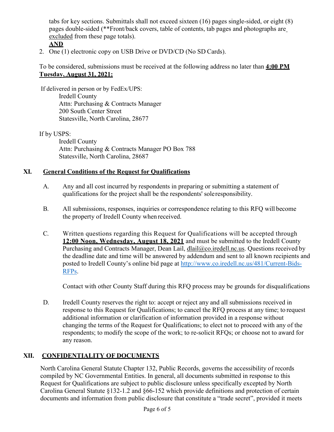tabs for key sections. Submittals shall not exceed sixteen (16) pages single-sided, or eight (8) pages double-sided (\*\*Front/back covers, table of contents, tab pages and photographs are excluded from these page totals).

## **AND**

2. One (1) electronic copy on USB Drive or DVD/CD (No SD Cards).

To be considered, submissions must be received at the following address no later than **4:00 PM Tuesday, August 31, 2021:**

If delivered in person or by FedEx/UPS: Iredell County Attn: Purchasing & Contracts Manager 200 South Center Street Statesville, North Carolina, 28677

If by USPS:

Iredell County Attn: Purchasing & Contracts Manager PO Box 788 Statesville, North Carolina, 28687

## **XI. General Conditions of the Request for Qualifications**

- A. Any and all cost incurred by respondents in preparing or submitting a statement of qualifications for the project shall be the respondents' soleresponsibility.
- B. All submissions, responses, inquiries or correspondence relating to this RFQ will become the property of Iredell County when received.
- C. Written questions regarding this Request for Qualifications will be accepted through **12:00 Noon, Wednesday, August 18, 2021** and must be submitted to the Iredell County Purchasing and Contracts Manager, Dean Lail, [dlail@co.iredell.nc.us.](mailto:dlail@co.iredell.nc.us) Questions received by the deadline date and time will be answered by addendum and sent to all known recipients and posted to Iredell County's online bid page at [http://www.co.iredell.nc.us/481/Current-Bids-](http://www.co.iredell.nc.us/481/Current-Bids-RFPs)[RFPs.](http://www.co.iredell.nc.us/481/Current-Bids-RFPs)

Contact with other County Staff during this RFQ process may be grounds for disqualifications

D. Iredell County reserves the right to: accept or reject any and all submissions received in response to this Request for Qualifications; to cancel the RFQ process at any time; to request additional information or clarification of information provided in a response without changing the terms of the Request for Qualifications; to elect not to proceed with any of the respondents; to modify the scope of the work; to re-solicit RFQs; or choose not to award for any reason.

## **XII. CONFIDENTIALITY OF DOCUMENTS**

North Carolina General Statute Chapter 132, Public Records, governs the accessibility of records compiled by NC Governmental Entities. In general, all documents submitted in response to this Request for Qualifications are subject to public disclosure unless specifically excepted by North Carolina General Statute §132-1.2 and §66-152 which provide definitions and protection of certain documents and information from public disclosure that constitute a "trade secret", provided it meets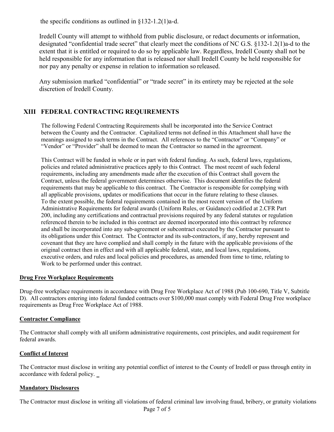the specific conditions as outlined in §132-1.2(1)a-d.

Iredell County will attempt to withhold from public disclosure, or redact documents or information, designated "confidential trade secret" that clearly meet the conditions of NC G.S. §132-1.2(1)a-d to the extent that it is entitled or required to do so by applicable law. Regardless, Iredell County shall not be held responsible for any information that is released nor shall Iredell County be held responsible for nor pay any penalty or expense in relation to information so released.

Any submission marked "confidential" or "trade secret" in its entirety may be rejected at the sole discretion of Iredell County.

## **XIII FEDERAL CONTRACTING REQUIREMENTS**

The following Federal Contracting Requirements shall be incorporated into the Service Contract between the County and the Contractor. Capitalized terms not defined in this Attachment shall have the meanings assigned to such terms in the Contract. All references to the "Contractor" or "Company" or "Vendor" or "Provider" shall be deemed to mean the Contractor so named in the agreement.

This Contract will be funded in whole or in part with federal funding. As such, federal laws, regulations, policies and related administrative practices apply to this Contract. The most recent of such federal requirements, including any amendments made after the execution of this Contract shall govern the Contract, unless the federal government determines otherwise. This document identifies the federal requirements that may be applicable to this contract. The Contractor is responsible for complying with all applicable provisions, updates or modifications that occur in the future relating to these clauses. To the extent possible, the federal requirements contained in the most recent version of the Uniform Administrative Requirements for federal awards (Uniform Rules, or Guidance) codified at 2.CFR Part 200, including any certifications and contractual provisions required by any federal statutes or regulation referenced therein to be included in this contract are deemed incorporated into this contract by reference and shall be incorporated into any sub-agreement or subcontract executed by the Contractor pursuant to its obligations under this Contract. The Contractor and its sub-contractors, if any, hereby represent and covenant that they are have complied and shall comply in the future with the applicable provisions of the original contract then in effect and with all applicable federal, state, and local laws, regulations, executive orders, and rules and local policies and procedures, as amended from time to time, relating to Work to be performed under this contract.

#### **Drug Free Workplace Requirements**

Drug-free workplace requirements in accordance with Drug Free Workplace Act of 1988 (Pub 100-690, Title V, Subtitle D). All contractors entering into federal funded contracts over \$100,000 must comply with Federal Drug Free workplace requirements as Drug Free Workplace Act of 1988.

#### **Contractor Compliance**

The Contractor shall comply with all uniform administrative requirements, cost principles, and audit requirement for federal awards.

#### **Conflict of Interest**

The Contractor must disclose in writing any potential conflict of interest to the County of Iredell or pass through entity in accordance with federal policy.

#### **Mandatory Disclosures**

The Contractor must disclose in writing all violations of federal criminal law involving fraud, bribery, or gratuity violations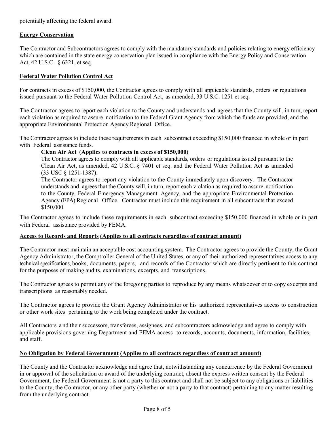potentially affecting the federal award.

#### **Energy Conservation**

The Contractor and Subcontractors agrees to comply with the mandatory standards and policies relating to energy efficiency which are contained in the state energy conservation plan issued in compliance with the Energy Policy and Conservation Act, 42 U.S.C. § 6321, et seq.

#### **Federal Water Pollution Control Act**

For contracts in excess of \$150,000, the Contractor agrees to comply with all applicable standards, orders or regulations issued pursuant to the Federal Water Pollution Control Act, as amended, 33 U.S.C. 1251 et seq.

The Contractor agrees to report each violation to the County and understands and agrees that the County will, in turn, report each violation as required to assure notification to the Federal Grant Agency from which the funds are provided, and the appropriate Environmental Protection Agency Regional Office.

The Contractor agrees to include these requirements in each subcontract exceeding \$150,000 financed in whole or in part with Federal assistance funds.

#### **Clean Air Act** (**Applies to contracts in excess of \$150,000)**

The Contractor agrees to comply with all applicable standards, orders or regulations issued pursuant to the Clean Air Act, as amended, 42 U.S.C. § 7401 et seq. and the Federal Water Pollution Act as amended (33 USC § 1251-1387).

The Contractor agrees to report any violation to the County immediately upon discovery. The Contractor understands and agrees that the County will, in turn, report each violation as required to assure notification to the County, Federal Emergency Management Agency, and the appropriate Environmental Protection Agency (EPA) Regional Office. Contractor must include this requirement in all subcontracts that exceed \$150,000.

The Contractor agrees to include these requirements in each subcontract exceeding \$150,000 financed in whole or in part with Federal assistance provided by FEMA.

#### **Access to Records and Reports (Applies to all contracts regardless of contract amount)**

The Contractor must maintain an acceptable cost accounting system. The Contractor agrees to provide the County, the Grant Agency Administrator, the Comptroller General of the United States, or any of their authorized representatives access to any technical specifications, books, documents, papers, and records of the Contractor which are directly pertinent to this contract for the purposes of making audits, examinations, excerpts, and transcriptions.

The Contractor agrees to permit any of the foregoing parties to reproduce by any means whatsoever or to copy excerpts and transcriptions as reasonably needed.

The Contractor agrees to provide the Grant Agency Administrator or his authorized representatives access to construction or other work sites pertaining to the work being completed under the contract.

All Contractors a nd their successors, transferees, assignees, and subcontractors acknowledge and agree to comply with applicable provisions governing Department and FEMA access to records, accounts, documents, information, facilities, and staff.

#### **No Obligation by Federal Government (Applies to all contracts regardless of contract amount)**

The County and the Contractor acknowledge and agree that, notwithstanding any concurrence by the Federal Government in or approval of the solicitation or award of the underlying contract, absent the express written consent by the Federal Government, the Federal Government is not a party to this contract and shall not be subject to any obligations or liabilities to the County, the Contractor, or any other party (whether or not a party to that contract) pertaining to any matter resulting from the underlying contract.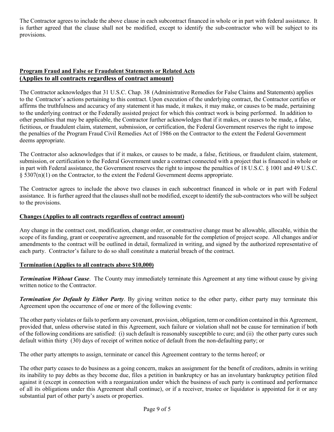The Contractor agrees to include the above clause in each subcontract financed in whole or in part with federal assistance. It is further agreed that the clause shall not be modified, except to identify the sub-contractor who will be subject to its provisions.

#### **Program Fraud and False or Fraudulent Statements or Related Acts (Applies to all contracts regardless of contract amount)**

The Contractor acknowledges that 31 U.S.C. Chap. 38 (Administrative Remedies for False Claims and Statements) applies to the Contractor's actions pertaining to this contract. Upon execution of the underlying contract, the Contractor certifies or affirms the truthfulness and accuracy of any statement it has made, it makes, it may make, or causes to be made, pertaining to the underlying contract or the Federally assisted project for which this contract work is being performed. In addition to other penalties that may be applicable, the Contractor further acknowledges that if it makes, or causes to be made, a false, fictitious, or fraudulent claim, statement, submission, or certification, the Federal Government reserves the right to impose the penalties of the Program Fraud Civil Remedies Act of 1986 on the Contractor to the extent the Federal Government deems appropriate.

The Contractor also acknowledges that if it makes, or causes to be made, a false, fictitious, or fraudulent claim, statement, submission, or certification to the Federal Government under a contract connected with a project that is financed in whole or in part with Federal assistance, the Government reserves the right to impose the penalties of 18 U.S.C. § 1001 and 49 U.S.C.  $\S$  5307(n)(1) on the Contractor, to the extent the Federal Government deems appropriate.

The Contractor agrees to include the above two clauses in each subcontract financed in whole or in part with Federal assistance. It is further agreed that the clauses shall not be modified, except to identify the sub-contractors who will be subject to the provisions.

#### **Changes (Applies to all contracts regardless of contract amount)**

Any change in the contract cost, modification, change order, or constructive change must be allowable, allocable, within the scope of its funding, grant or cooperative agreement, and reasonable for the completion of project scope. All changes and/or amendments to the contract will be outlined in detail, formalized in writing, and signed by the authorized representative of each party. Contractor's failure to do so shall constitute a material breach of the contract.

#### **Termination (Applies to all contracts above \$10,000)**

*Termination Without Cause*. The County may immediately terminate this Agreement at any time without cause by giving written notice to the Contractor.

*Termination for Default by Either Party*. By giving written notice to the other party, either party may terminate this Agreement upon the occurrence of one or more of the following events:

The other party violates or fails to perform any covenant, provision, obligation, term or condition contained in this Agreement, provided that, unless otherwise stated in this Agreement, such failure or violation shall not be cause for termination if both of the following conditions are satisfied: (i) such default is reasonably susceptible to cure; and (ii) the other party cures such default within thirty (30) days of receipt of written notice of default from the non-defaulting party; or

The other party attempts to assign, terminate or cancel this Agreement contrary to the terms hereof; or

The other party ceases to do business as a going concern, makes an assignment for the benefit of creditors, admits in writing its inability to pay debts as they become due, files a petition in bankruptcy or has an involuntary bankruptcy petition filed against it (except in connection with a reorganization under which the business of such party is continued and performance of all its obligations under this Agreement shall continue), or if a receiver, trustee or liquidator is appointed for it or any substantial part of other party's assets or properties.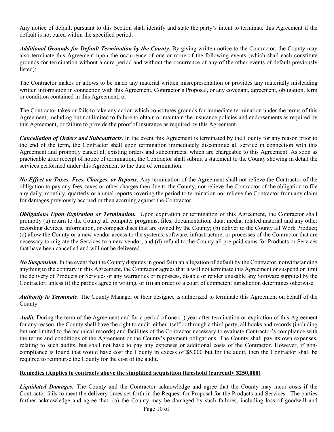Any notice of default pursuant to this Section shall identify and state the party's intent to terminate this Agreement if the default is not cured within the specified period.

Additional Grounds for Default Termination by the County. By giving written notice to the Contractor, the County may also terminate this Agreement upon the occurrence of one or more of the following events (which shall each constitute grounds for termination without a cure period and without the occurrence of any of the other events of default previously listed):

The Contractor makes or allows to be made any material written misrepresentation or provides any materially misleading written information in connection with this Agreement, Contractor's Proposal, or any covenant, agreement, obligation, term or condition contained in this Agreement; or

The Contractor takes or fails to take any action which constitutes grounds for immediate termination under the terms of this Agreement, including but not limited to failure to obtain or maintain the insurance policies and endorsements as required by this Agreement, or failure to provide the proof of insurance as required by this Agreement.

*Cancellation of Orders and Subcontracts*. In the event this Agreement is terminated by the County for any reason prior to the end of the term, the Contractor shall upon termination immediately discontinue all service in connection with this Agreement and promptly cancel all existing orders and subcontracts, which are chargeable to this Agreement. As soon as practicable after receipt of notice of termination, the Contractor shall submit a statement to the County showing in detail the services performed under this Agreement to the date of termination.

*No Effect on Taxes, Fees, Charges, or Reports*. Any termination of the Agreement shall not relieve the Contractor of the obligation to pay any fees, taxes or other charges then due to the County, nor relieve the Contractor of the obligation to file any daily, monthly, quarterly or annual reports covering the period to termination nor relieve the Contractor from any claim for damages previously accrued or then accruing against the Contractor.

*Obligations Upon Expiration or Termination.* Upon expiration or termination of this Agreement, the Contractor shall promptly (a) return to the County all computer programs, files, documentation, data, media, related material and any other recording devices, information, or compact discs that are owned by the County; (b) deliver to the County all Work Product; (c) allow the County or a new vendor access to the systems, software, infrastructure, or processes of the Contractor that are necessary to migrate the Services to a new vendor; and (d) refund to the County all pre-paid sums for Products or Services that have been cancelled and will not be delivered.

*No Suspension*. In the event that the County disputes in good faith an allegation of default by the Contractor, notwithstanding anything to the contrary in this Agreement, the Contractor agrees that it will not terminate this Agreement or suspend or limit the delivery of Products or Services or any warranties or repossess, disable or render unusable any Software supplied by the Contractor, unless (i) the parties agree in writing, or (ii) an order of a court of competent jurisdiction determines otherwise.

*Authority to Terminate*. The County Manager or their designee is authorized to terminate this Agreement on behalf of the County.

*Audit.* During the term of the Agreement and for a period of one (1) year after termination or expiration of this Agreement for any reason, the County shall have the right to audit, either itself or through a third party, all books and records (including but not limited to the technical records) and facilities of the Contractor necessary to evaluate Contractor's compliance with the terms and conditions of the Agreement or the County's payment obligations. The County shall pay its own expenses, relating to such audits, but shall not have to pay any expenses or additional costs of the Contractor. However, if noncompliance is found that would have cost the County in excess of \$5,000 but for the audit, then the Contractor shall be required to reimburse the County for the cost of the audit.

#### **Remedies (Applies to contracts above the simplified acquisition threshold (currently \$250,000)**

*Liquidated Damages:* The County and the Contractor acknowledge and agree that the County may incur costs if the Contractor fails to meet the delivery times set forth in the Request for Proposal for the Products and Services. The parties further acknowledge and agree that: (a) the County may be damaged by such failures, including loss of goodwill and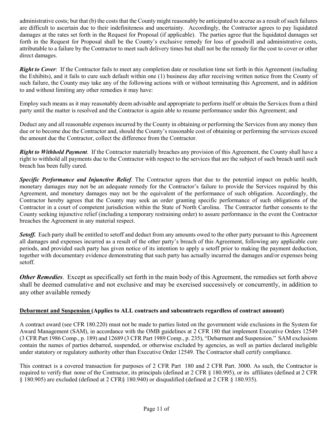administrative costs; but that (b) the costs that the County might reasonably be anticipated to accrue as a result of such failures are difficult to ascertain due to their indefiniteness and uncertainty. Accordingly, the Contractor agrees to pay liquidated damages at the rates set forth in the Request for Proposal (if applicable). The parties agree that the liquidated damages set forth in the Request for Proposal shall be the County's exclusive remedy for loss of goodwill and administrative costs, attributable to a failure by the Contractor to meet such delivery times but shall not be the remedy for the cost to cover or other direct damages.

*Right to Cover*: If the Contractor fails to meet any completion date or resolution time set forth in this Agreement (including the Exhibits), and it fails to cure such default within one (1) business day after receiving written notice from the County of such failure, the County may take any of the following actions with or without terminating this Agreement, and in addition to and without limiting any other remedies it may have:

Employ such means as it may reasonably deem advisable and appropriate to perform itself or obtain the Services from a third party until the matter is resolved and the Contractor is again able to resume performance under this Agreement; and

Deduct any and all reasonable expenses incurred by the County in obtaining or performing the Services from any money then due or to become due the Contractor and, should the County's reasonable cost of obtaining or performing the services exceed the amount due the Contractor, collect the difference from the Contractor.

*Right to Withhold Payment.* If the Contractor materially breaches any provision of this Agreement, the County shall have a right to withhold all payments due to the Contractor with respect to the services that are the subject of such breach until such breach has been fully cured.

*Specific Performance and Injunctive Relief*. The Contractor agrees that due to the potential impact on public health, monetary damages may not be an adequate remedy for the Contractor's failure to provide the Services required by this Agreement, and monetary damages may not be the equivalent of the performance of such obligation. Accordingly, the Contractor hereby agrees that the County may seek an order granting specific performance of such obligations of the Contractor in a court of competent jurisdiction within the State of North Carolina. The Contractor further consents to the County seeking injunctive relief (including a temporary restraining order) to assure performance in the event the Contractor breaches the Agreement in any material respect.

**Setoff.** Each party shall be entitled to setoff and deduct from any amounts owed to the other party pursuant to this Agreement all damages and expenses incurred as a result of the other party's breach of this Agreement, following any applicable cure periods, and provided such party has given notice of its intention to apply a setoff prior to making the payment deduction, together with documentary evidence demonstrating that such party has actually incurred the damages and/or expenses being setoff.

*Other Remedies*. Except as specifically set forth in the main body of this Agreement, the remedies set forth above shall be deemed cumulative and not exclusive and may be exercised successively or concurrently, in addition to any other available remedy

#### **Debarment and Suspension (Applies to ALL contracts and subcontracts regardless of contract amount)**

A contract award (see CFR 180.220) must not be made to parties listed on the government wide exclusions in the System for Award Management (SAM), in accordance with the OMB guidelines at 2 CFR 180 that implement Executive Orders 12549 (3 CFR Part 1986 Comp., p. 189) and 12689 (3 CFR Part 1989 Comp., p. 235), "Debarment and Suspension." SAM exclusions contain the names of parties debarred, suspended, or otherwise excluded by agencies, as well as parties declared ineligible under statutory or regulatory authority other than Executive Order 12549. The Contractor shall certify compliance.

This contract is a covered transaction for purposes of 2 CFR Part 180 and 2 CFR Part. 3000. As such, the Contractor is required to verify that none of the Contractor, its principals (defined at 2 CFR § 180.995), or its affiliates (defined at 2 CFR § 180.905) are excluded (defined at 2 CFR§ 180.940) or disqualified (defined at 2 CFR § 180.935).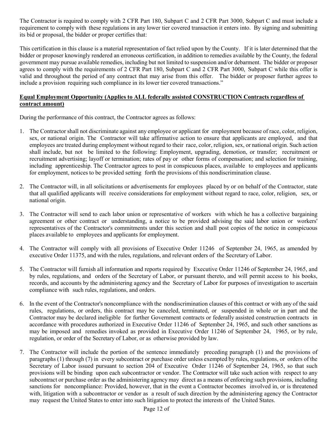The Contractor is required to comply with 2 CFR Part 180, Subpart C and 2 CFR Part 3000, Subpart C and must include a requirement to comply with these regulations in any lower tier covered transaction it enters into. By signing and submitting its bid or proposal, the bidder or proper certifies that:

This certification in this clause is a material representation of fact relied upon by the County. If it is later determined that the bidder or proposer knowingly rendered an erroneous certification, in addition to remedies available by the County, the federal government may pursue available remedies, including but not limited to suspension and/or debarment. The bidder or proposer agrees to comply with the requirements of 2 CFR Part 180, Subpart C and 2 CFR Part 3000, Subpart C while this offer is valid and throughout the period of any contract that may arise from this offer. The bidder or proposer further agrees to include a provision requiring such compliance in its lower tier covered transactions."

#### **Equal Employment Opportunity (Applies to ALL federally assisted CONSTRUCTION Contracts regardless of contract amount)**

During the performance of this contract, the Contractor agrees as follows:

- 1. The Contractor shall not discriminate against any employee or applicant for employment because of race, color, religion, sex, or national origin. The Contractor will take affirmative action to ensure that applicants are employed, and that employees are treated during employment without regard to their race, color, religion, sex, or national origin. Such action shall include, but not be limited to the following: Employment, upgrading, demotion, or transfer; recruitment or recruitment advertising; layoff or termination; rates of pay or other forms of compensation; and selection for training, including apprenticeship. The Contractor agrees to post in conspicuous places, available to employees and applicants for employment, notices to be provided setting forth the provisions of this nondiscrimination clause.
- 2. The Contractor will, in all solicitations or advertisements for employees placed by or on behalf of the Contractor, state that all qualified applicants will receive considerations for employment without regard to race, color, religion, sex, or national origin.
- 3. The Contractor will send to each labor union or representative of workers with which he has a collective bargaining agreement or other contract or understanding, a notice to be provided advising the said labor union or workers' representatives of the Contractor's commitments under this section and shall post copies of the notice in conspicuous places available to employees and applicants for employment.
- 4. The Contractor will comply with all provisions of Executive Order 11246 of September 24, 1965, as amended by executive Order 11375, and with the rules, regulations, and relevant orders of the Secretary of Labor.
- 5. The Contractor will furnish all information and reports required by Executive Order 11246 of September 24, 1965, and by rules, regulations, and orders of the Secretary of Labor, or pursuant thereto, and will permit access to his books, records, and accounts by the administering agency and the Secretary of Labor for purposes of investigation to ascertain compliance with such rules, regulations, and orders.
- 6. In the event of the Contractor's noncompliance with the nondiscrimination clauses of this contract or with any of the said rules, regulations, or orders, this contract may be canceled, terminated, or suspended in whole or in part and the Contractor may be declared ineligible for further Government contracts or federally assisted construction contracts in accordance with procedures authorized in Executive Order 11246 of September 24, 1965, and such other sanctions as may be imposed and remedies invoked as provided in Executive Order 11246 of September 24, 1965, or by rule, regulation, or order of the Secretary of Labor, or as otherwise provided by law.
- 7. The Contractor will include the portion of the sentence immediately preceding paragraph (1) and the provisions of paragraphs (1) through (7) in every subcontract or purchase order unless exempted by rules, regulations, or orders of the Secretary of Labor issued pursuant to section 204 of Executive Order 11246 of September 24, 1965, so that such provisions will be binding upon each subcontractor or vendor. The Contractor will take such action with respect to any subcontract or purchase order as the administering agency may direct as a means of enforcing such provisions, including sanctions for noncompliance: Provided, however, that in the event a Contractor becomes involved in, or is threatened with, litigation with a subcontractor or vendor as a result of such direction by the administering agency the Contractor may request the United States to enter into such litigation to protect the interests of the United States.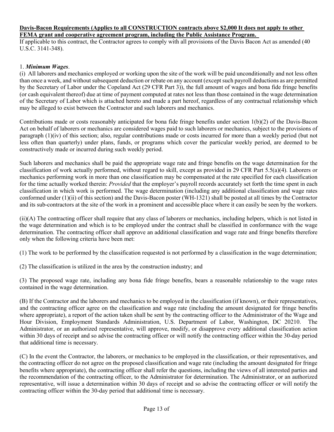#### **Davis-Bacon Requirements (Applies to all CONSTRUCTION contracts above \$2,000 It does not apply to other FEMA grant and cooperative agreement program, including the Public Assistance Program.**

If applicable to this contract, the Contractor agrees to comply with all provisions of the Davis Bacon Act as amended (40 U.S.C. 3141-348).

#### 1. *Minimum Wages*.

(i) All laborers and mechanics employed or working upon the site of the work will be paid unconditionally and not less often than once a week, and without subsequent deduction or rebate on any account (except such payroll deductions as are permitted by the Secretary of Labor under the Copeland Act (29 CFR Part 3)), the full amount of wages and bona fide fringe benefits (or cash equivalent thereof) due at time of payment computed at rates not less than those contained in the wage determination of the Secretary of Labor which is attached hereto and made a part hereof, regardless of any contractual relationship which may be alleged to exist between the Contractor and such laborers and mechanics.

Contributions made or costs reasonably anticipated for bona fide fringe benefits under section 1(b)(2) of the Davis-Bacon Act on behalf of laborers or mechanics are considered wages paid to such laborers or mechanics, subject to the provisions of paragraph (1)(iv) of this section; also, regular contributions made or costs incurred for more than a weekly period (but not less often than quarterly) under plans, funds, or programs which cover the particular weekly period, are deemed to be constructively made or incurred during such weekly period.

Such laborers and mechanics shall be paid the appropriate wage rate and fringe benefits on the wage determination for the classification of work actually performed, without regard to skill, except as provided in 29 CFR Part 5.5(a)(4). Laborers or mechanics performing work in more than one classification may be compensated at the rate specified for each classification for the time actually worked therein: *Provided* that the employer's payroll records accurately set forth the time spent in each classification in which work is performed. The wage determination (including any additional classification and wage rates conformed under (1)(ii) of this section) and the Davis-Bacon poster (WH-1321) shall be posted at all times by the Contractor and its sub-contractors at the site of the work in a prominent and accessible place where it can easily be seen by the workers.

(ii)(A) The contracting officer shall require that any class of laborers or mechanics, including helpers, which is not listed in the wage determination and which is to be employed under the contract shall be classified in conformance with the wage determination. The contracting officer shall approve an additional classification and wage rate and fringe benefits therefore only when the following criteria have been met:

(1) The work to be performed by the classification requested is not performed by a classification in the wage determination;

(2) The classification is utilized in the area by the construction industry; and

(3) The proposed wage rate, including any bona fide fringe benefits, bears a reasonable relationship to the wage rates contained in the wage determination.

(B) If the Contractor and the laborers and mechanics to be employed in the classification (if known), or their representatives, and the contracting officer agree on the classification and wage rate (including the amount designated for fringe benefits where appropriate), a report of the action taken shall be sent by the contracting officer to the Administrator of the Wage and Hour Division, Employment Standards Administration, U.S. Department of Labor, Washington, DC 20210. The Administrator, or an authorized representative, will approve, modify, or disapprove every additional classification action within 30 days of receipt and so advise the contracting officer or will notify the contracting officer within the 30-day period that additional time is necessary.

(C) In the event the Contractor, the laborers, or mechanics to be employed in the classification, or their representatives, and the contracting officer do not agree on the proposed classification and wage rate (including the amount designated for fringe benefits where appropriate), the contracting officer shall refer the questions, including the views of all interested parties and the recommendation of the contracting officer, to the Administrator for determination. The Administrator, or an authorized representative, will issue a determination within 30 days of receipt and so advise the contracting officer or will notify the contracting officer within the 30-day period that additional time is necessary.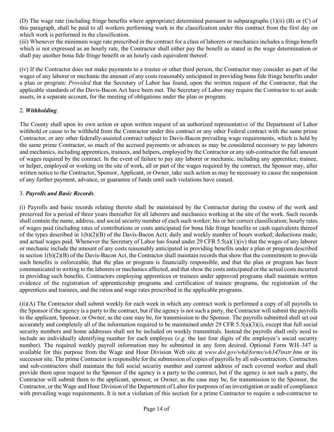(D) The wage rate (including fringe benefits where appropriate) determined pursuant to subparagraphs (1)(ii) (B) or (C) of this paragraph, shall be paid to all workers performing work in the classification under this contract from the first day on which work is performed in the classification.

(iii) Whenever the minimum wage rate prescribed in the contract for a class of laborers or mechanics includes a fringe benefit which is not expressed as an hourly rate, the Contractor shall either pay the benefit as stated in the wage determination or shall pay another bona fide fringe benefit or an hourly cash equivalent thereof.

(iv) If the Contractor does not make payments to a trustee or other third person, the Contractor may consider as part of the wages of any laborer or mechanic the amount of any costs reasonably anticipated in providing bona fide fringe benefits under a plan or program: *Provided* that the Secretary of Labor has found, upon the written request of the Contractor, that the applicable standards of the Davis-Bacon Act have been met. The Secretary of Labor may require the Contractor to set aside assets, in a separate account, for the meeting of obligations under the plan or program.

#### 2. *Withholding*.

The County shall upon its own action or upon written request of an authorized representative of the Department of Labor withhold or cause to be withheld from the Contractor under this contract or any other Federal contract with the same prime Contractor, or any other federally-assisted contract subject to Davis-Bacon prevailing wage requirements, which is held by the same prime Contractor, so much of the accrued payments or advances as may be considered necessary to pay laborers and mechanics, including apprentices, trainees, and helpers, employed by the Contractor or any sub-contractor the full amount of wages required by the contract. In the event of failure to pay any laborer or mechanic, including any apprentice, trainee, or helper, employed or working on the site of work, all or part of the wages required by the contract, the Sponsor may, after written notice to the Contractor, Sponsor, Applicant, or Owner, take such action as may be necessary to cause the suspension of any further payment, advance, or guarantee of funds until such violations have ceased.

#### 3. *Payrolls and Basic Records*.

(i) Payrolls and basic records relating thereto shall be maintained by the Contractor during the course of the work and preserved for a period of three years thereafter for all laborers and mechanics working at the site of the work. Such records shall contain the name, address, and social security number of each such worker; his or her correct classification; hourly rates of wages paid (including rates of contributions or costs anticipated for bona fide fringe benefits or cash equivalents thereof of the types described in 1(b)(2)(B) of the Davis-Bacon Act); daily and weekly number of hours worked; deductions made; and actual wages paid. Whenever the Secretary of Labor has found under 29 CFR 5.5(a)(1)(iv) that the wages of any laborer or mechanic include the amount of any costs reasonably anticipated in providing benefits under a plan or program described in section  $1(b)(2)(B)$  of the Davis-Bacon Act, the Contractor shall maintain records that show that the commitment to provide such benefits is enforceable, that the plan or program is financially responsible, and that the plan or program has been communicated in writing to the laborers or mechanics affected, and that show the costs anticipated or the actual costs incurred in providing such benefits. Contractors employing apprentices or trainees under approved programs shall maintain written evidence of the registration of apprenticeship programs and certification of trainee programs, the registration of the apprentices and trainees, and the ratios and wage rates prescribed in the applicable programs.

(ii)(A) The Contractor shall submit weekly for each week in which any contract work is performed a copy of all payrolls to the Sponsor if the agency is a party to the contract, but if the agency is not such a party, the Contractor will submit the payrolls to the applicant, Sponsor, or Owner, as the case may be, for transmission to the Sponsor. The payrolls submitted shall set out accurately and completely all of the information required to be maintained under 29 CFR 5.5(a)(3)(i), except that full social security numbers and home addresses shall not be included on weekly transmittals. Instead the payrolls shall only need to include an individually identifying number for each employee (*e.g.* the last four digits of the employee's social security number). The required weekly payroll information may be submitted in any form desired. Optional Form WH–347 is available for this purpose from the Wage and Hour Division Web site at *www.dol.gov/whd/forms/wh347instr.htm* or its successor site. The prime Contractor is responsible for the submission of copies of payrolls by all sub-contractors. Contractors and sub-contractors shall maintain the full social security number and current address of each covered worker and shall provide them upon request to the Sponsor if the agency is a party to the contract, but if the agency is not such a party, the Contractor will submit them to the applicant, sponsor, or Owner, as the case may be, for transmission to the Sponsor, the Contractor, or the Wage and Hour Division of the Department of Labor for purposes of an investigation or audit of compliance with prevailing wage requirements. It is not a violation of this section for a prime Contractor to require a sub-contractor to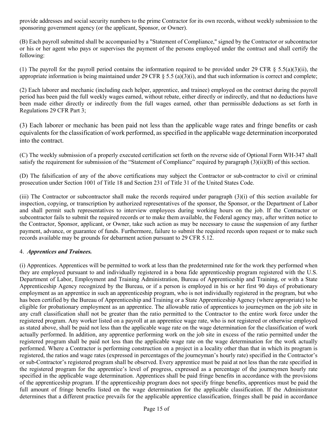provide addresses and social security numbers to the prime Contractor for its own records, without weekly submission to the sponsoring government agency (or the applicant, Sponsor, or Owner).

(B) Each payroll submitted shall be accompanied by a "Statement of Compliance," signed by the Contractor or subcontractor or his or her agent who pays or supervises the payment of the persons employed under the contract and shall certify the following:

(1) The payroll for the payroll period contains the information required to be provided under 29 CFR  $\S$  5.5(a)(3)(ii), the appropriate information is being maintained under 29 CFR  $\S$  5.5 (a)(3)(i), and that such information is correct and complete;

(2) Each laborer and mechanic (including each helper, apprentice, and trainee) employed on the contract during the payroll period has been paid the full weekly wages earned, without rebate, either directly or indirectly, and that no deductions have been made either directly or indirectly from the full wages earned, other than permissible deductions as set forth in Regulations 29 CFR Part 3;

(3) Each laborer or mechanic has been paid not less than the applicable wage rates and fringe benefits or cash equivalents for the classification of work performed, as specified in the applicable wage determination incorporated into the contract.

(C) The weekly submission of a properly executed certification set forth on the reverse side of Optional Form WH-347 shall satisfy the requirement for submission of the "Statement of Compliance" required by paragraph (3)(ii)(B) of this section.

(D) The falsification of any of the above certifications may subject the Contractor or sub-contractor to civil or criminal prosecution under Section 1001 of Title 18 and Section 231 of Title 31 of the United States Code.

(iii) The Contractor or subcontractor shall make the records required under paragraph (3)(i) of this section available for inspection, copying, or transcription by authorized representatives of the sponsor, the Sponsor, or the Department of Labor and shall permit such representatives to interview employees during working hours on the job. If the Contractor or subcontractor fails to submit the required records or to make them available, the Federal agency may, after written notice to the Contractor, Sponsor, applicant, or Owner, take such action as may be necessary to cause the suspension of any further payment, advance, or guarantee of funds. Furthermore, failure to submit the required records upon request or to make such records available may be grounds for debarment action pursuant to 29 CFR 5.12.

#### 4. *Apprentices and Trainees.*

(i) Apprentices. Apprentices will be permitted to work at less than the predetermined rate for the work they performed when they are employed pursuant to and individually registered in a bona fide apprenticeship program registered with the U.S. Department of Labor, Employment and Training Administration, Bureau of Apprenticeship and Training, or with a State Apprenticeship Agency recognized by the Bureau, or if a person is employed in his or her first 90 days of probationary employment as an apprentice in such an apprenticeship program, who is not individually registered in the program, but who has been certified by the Bureau of Apprenticeship and Training or a State Apprenticeship Agency (where appropriate) to be eligible for probationary employment as an apprentice. The allowable ratio of apprentices to journeymen on the job site in any craft classification shall not be greater than the ratio permitted to the Contractor to the entire work force under the registered program. Any worker listed on a payroll at an apprentice wage rate, who is not registered or otherwise employed as stated above, shall be paid not less than the applicable wage rate on the wage determination for the classification of work actually performed. In addition, any apprentice performing work on the job site in excess of the ratio permitted under the registered program shall be paid not less than the applicable wage rate on the wage determination for the work actually performed. Where a Contractor is performing construction on a project in a locality other than that in which its program is registered, the ratios and wage rates (expressed in percentages of the journeyman's hourly rate) specified in the Contractor's or sub-Contractor's registered program shall be observed. Every apprentice must be paid at not less than the rate specified in the registered program for the apprentice's level of progress, expressed as a percentage of the journeymen hourly rate specified in the applicable wage determination. Apprentices shall be paid fringe benefits in accordance with the provisions of the apprenticeship program. If the apprenticeship program does not specify fringe benefits, apprentices must be paid the full amount of fringe benefits listed on the wage determination for the applicable classification. If the Administrator determines that a different practice prevails for the applicable apprentice classification, fringes shall be paid in accordance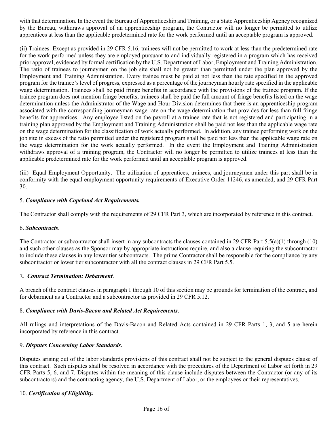with that determination. In the event the Bureau of Apprenticeship and Training, or a State Apprenticeship Agency recognized by the Bureau, withdraws approval of an apprenticeship program, the Contractor will no longer be permitted to utilize apprentices at less than the applicable predetermined rate for the work performed until an acceptable program is approved.

(ii) Trainees. Except as provided in 29 CFR 5.16, trainees will not be permitted to work at less than the predetermined rate for the work performed unless they are employed pursuant to and individually registered in a program which has received prior approval, evidenced by formal certification by the U.S. Department of Labor, Employment and Training Administration. The ratio of trainees to journeymen on the job site shall not be greater than permitted under the plan approved by the Employment and Training Administration. Every trainee must be paid at not less than the rate specified in the approved program for the trainee's level of progress, expressed as a percentage of the journeyman hourly rate specified in the applicable wage determination. Trainees shall be paid fringe benefits in accordance with the provisions of the trainee program. If the trainee program does not mention fringe benefits, trainees shall be paid the full amount of fringe benefits listed on the wage determination unless the Administrator of the Wage and Hour Division determines that there is an apprenticeship program associated with the corresponding journeyman wage rate on the wage determination that provides for less than full fringe benefits for apprentices. Any employee listed on the payroll at a trainee rate that is not registered and participating in a training plan approved by the Employment and Training Administration shall be paid not less than the applicable wage rate on the wage determination for the classification of work actually performed. In addition, any trainee performing work on the job site in excess of the ratio permitted under the registered program shall be paid not less than the applicable wage rate on the wage determination for the work actually performed. In the event the Employment and Training Administration withdraws approval of a training program, the Contractor will no longer be permitted to utilize trainees at less than the applicable predetermined rate for the work performed until an acceptable program is approved.

(iii) Equal Employment Opportunity. The utilization of apprentices, trainees, and journeymen under this part shall be in conformity with the equal employment opportunity requirements of Executive Order 11246, as amended, and 29 CFR Part 30.

#### 5. *Compliance with Copeland Act Requirements.*

The Contractor shall comply with the requirements of 29 CFR Part 3, which are incorporated by reference in this contract.

#### 6. *Subcontracts*.

The Contractor or subcontractor shall insert in any subcontracts the clauses contained in 29 CFR Part  $5.5(a)(1)$  through (10) and such other clauses as the Sponsor may by appropriate instructions require, and also a clause requiring the subcontractor to include these clauses in any lower tier subcontracts. The prime Contractor shall be responsible for the compliance by any subcontractor or lower tier subcontractor with all the contract clauses in 29 CFR Part 5.5.

#### 7*. Contract Termination: Debarment*.

A breach of the contract clauses in paragraph 1 through 10 of this section may be grounds for termination of the contract, and for debarment as a Contractor and a subcontractor as provided in 29 CFR 5.12.

#### 8. *Compliance with Davis-Bacon and Related Act Requirements*.

All rulings and interpretations of the Davis-Bacon and Related Acts contained in 29 CFR Parts 1, 3, and 5 are herein incorporated by reference in this contract.

#### 9. *Disputes Concerning Labor Standards.*

Disputes arising out of the labor standards provisions of this contract shall not be subject to the general disputes clause of this contract. Such disputes shall be resolved in accordance with the procedures of the Department of Labor set forth in 29 CFR Parts 5, 6, and 7. Disputes within the meaning of this clause include disputes between the Contractor (or any of its subcontractors) and the contracting agency, the U.S. Department of Labor, or the employees or their representatives.

#### 10. *Certification of Eligibility.*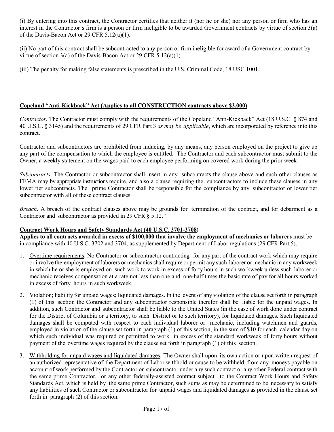(i) By entering into this contract, the Contractor certifies that neither it (nor he or she) nor any person or firm who has an interest in the Contractor's firm is a person or firm ineligible to be awarded Government contracts by virtue of section 3(a) of the Davis-Bacon Act or 29 CFR 5.12(a)(1).

(ii) No part of this contract shall be subcontracted to any person or firm ineligible for award of a Government contract by virtue of section 3(a) of the Davis-Bacon Act or 29 CFR 5.12(a)(1).

(iii) The penalty for making false statements is prescribed in the U.S. Criminal Code, 18 USC 1001.

#### **Copeland "Anti-Kickback" Act (Applies to all CONSTRUCTION contracts above \$2,000)**

*Contractor.* The Contractor must comply with the requirements of the Copeland "Anti-Kickback" Act (18 U.S.C. § 874 and 40 U.S.C. § 3145) and the requirements of 29 CFR Part 3 *as may be applicable*, which are incorporated by reference into this contract.

Contractor and subcontractors are prohibited from inducing, by any means, any person employed on the project to give up any part of the compensation to which the employee is entitled. The Contractor and each subcontractor must submit to the Owner, a weekly statement on the wages paid to each employee performing on covered work during the prior week

*Subcontracts*. The Contractor or subcontractor shall insert in any subcontracts the clause above and such other clauses as FEMA may by appropriate instructions require, and also a clause requiring the subcontractors to include these clauses in any lower tier subcontracts. The prime Contractor shall be responsible for the compliance by any subcontractor or lower tier subcontractor with all of these contract clauses.

*Breach*. A breach of the contract clauses above may be grounds for termination of the contract, and for debarment as a Contractor and subcontractor as provided in 29 CFR § 5.12."

#### **Contract Work Hours and Safety Standards Act (40 U.S.C. 3701-3708)**

**Applies to all contracts awarded in excess of \$100,000 that involve the employment of mechanics or laborers** must be in compliance with 40 U.S.C. 3702 and 3704, as supplemented by Department of Labor regulations (29 CFR Part 5).

- 1. Overtime requirements. No Contractor or subcontractor contracting for any part of the contract work which may require or involve the employment of laborers or mechanics shall require or permit any such laborer or mechanic in any workweek in which he or she is employed on such work to work in excess of forty hours in such workweek unless such laborer or mechanic receives compensation at a rate not less than one and one-half times the basic rate of pay for all hours worked in excess of forty hours in such workweek.
- 2. Violation; liability for unpaid wages; liquidated damages. In the event of any violation of the clause set forth in paragraph (1) of this section the Contractor and any subcontractor responsible therefor shall be liable for the unpaid wages. In addition, such Contractor and subcontractor shall be liable to the United States (in the case of work done under contract for the District of Columbia or a territory, to such District or to such territory), for liquidated damages. Such liquidated damages shall be computed with respect to each individual laborer or mechanic, including watchmen and guards, employed in violation of the clause set forth in paragraph (1) of this section, in the sum of \$10 for each calendar day on which such individual was required or permitted to work in excess of the standard workweek of forty hours without payment of the overtime wages required by the clause set forth in paragraph (1) of this section.
- 3. Withholding for unpaid wages and liquidated damages. The Owner shall upon its own action or upon written request of an authorized representative of the Department of Labor withhold or cause to be withheld, from any moneys payable on account of work performed by the Contractor or subcontractor under any such contract or any other Federal contract with the same prime Contractor, or any other federally-assisted contract subject to the Contract Work Hours and Safety Standards Act, which is held by the same prime Contractor, such sums as may be determined to be necessary to satisfy any liabilities of such Contractor or subcontractor for unpaid wages and liquidated damages as provided in the clause set forth in paragraph (2) of this section.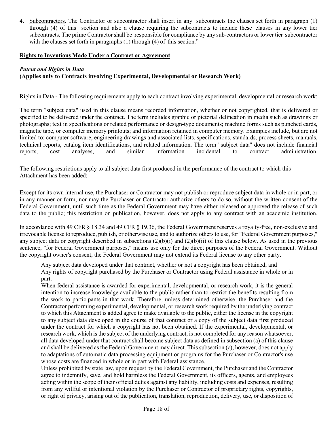4. Subcontractors. The Contractor or subcontractor shall insert in any subcontracts the clauses set forth in paragraph (1) through (4) of this section and also a clause requiring the subcontracts to include these clauses in any lower tier subcontracts. The prime Contractor shall be responsible for compliance by any sub-contractors or lower tier subcontractor with the clauses set forth in paragraphs (1) through (4) of this section."

#### **Rights to Inventions Made Under a Contract or Agreement**

#### *Patent and Rights in Data* **(Applies only to Contracts involving Experimental, Developmental or Research Work)**

Rights in Data - The following requirements apply to each contract involving experimental, developmental or research work:

The term "subject data" used in this clause means recorded information, whether or not copyrighted, that is delivered or specified to be delivered under the contract. The term includes graphic or pictorial delineation in media such as drawings or photographs; text in specifications or related performance or design-type documents; machine forms such as punched cards, magnetic tape, or computer memory printouts; and information retained in computer memory. Examples include, but are not limited to: computer software, engineering drawings and associated lists, specifications, standards, process sheets, manuals, technical reports, catalog item identifications, and related information. The term "subject data" does not include financial reports, cost analyses, and similar information incidental to contract administration.

The following restrictions apply to all subject data first produced in the performance of the contract to which this Attachment has been added:

Except for its own internal use, the Purchaser or Contractor may not publish or reproduce subject data in whole or in part, or in any manner or form, nor may the Purchaser or Contractor authorize others to do so, without the written consent of the Federal Government, until such time as the Federal Government may have either released or approved the release of such data to the public; this restriction on publication, however, does not apply to any contract with an academic institution.

In accordance with 49 CFR § 18.34 and 49 CFR § 19.36, the Federal Government reserves a royalty-free, non-exclusive and irrevocable license to reproduce, publish, or otherwise use, and to authorize others to use, for "Federal Government purposes," any subject data or copyright described in subsections  $(2)(b)(i)$  and  $(2)(b)(ii)$  of this clause below. As used in the previous sentence, "for Federal Government purposes," means use only for the direct purposes of the Federal Government. Without the copyright owner's consent, the Federal Government may not extend its Federal license to any other party.

Any subject data developed under that contract, whether or not a copyright has been obtained; and Any rights of copyright purchased by the Purchaser or Contractor using Federal assistance in whole or in part.

When federal assistance is awarded for experimental, developmental, or research work, it is the general intention to increase knowledge available to the public rather than to restrict the benefits resulting from the work to participants in that work. Therefore, unless determined otherwise, the Purchaser and the Contractor performing experimental, developmental, or research work required by the underlying contract to which this Attachment is added agree to make available to the public, either the license in the copyright to any subject data developed in the course of that contract or a copy of the subject data first produced under the contract for which a copyright has not been obtained. If the experimental, developmental, or research work, which is the subject of the underlying contract, is not completed for any reason whatsoever, all data developed under that contract shall become subject data as defined in subsection (a) of this clause and shall be delivered as the Federal Government may direct. This subsection (c), however, does not apply to adaptations of automatic data processing equipment or programs for the Purchaser or Contractor's use whose costs are financed in whole or in part with Federal assistance.

Unless prohibited by state law, upon request by the Federal Government, the Purchaser and the Contractor agree to indemnify, save, and hold harmless the Federal Government, its officers, agents, and employees acting within the scope of their official duties against any liability, including costs and expenses, resulting from any willful or intentional violation by the Purchaser or Contractor of proprietary rights, copyrights, or right of privacy, arising out of the publication, translation, reproduction, delivery, use, or disposition of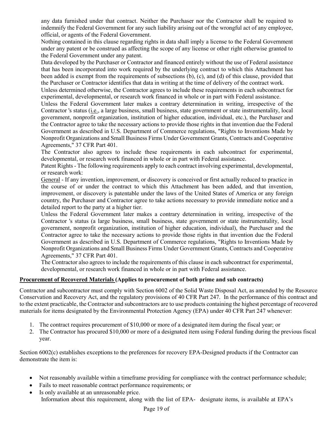any data furnished under that contract. Neither the Purchaser nor the Contractor shall be required to indemnify the Federal Government for any such liability arising out of the wrongful act of any employee, official, or agents of the Federal Government.

Nothing contained in this clause regarding rights in data shall imply a license to the Federal Government under any patent or be construed as affecting the scope of any license or other right otherwise granted to the Federal Government under any patent.

Data developed by the Purchaser or Contractor and financed entirely without the use of Federal assistance that has been incorporated into work required by the underlying contract to which this Attachment has been added is exempt from the requirements of subsections (b), (c), and (d) of this clause, provided that the Purchaser or Contractor identifies that data in writing at the time of delivery of the contract work.

Unless determined otherwise, the Contractor agrees to include these requirements in each subcontract for experimental, developmental, or research work financed in whole or in part with Federal assistance.

Unless the Federal Government later makes a contrary determination in writing, irrespective of the Contractor 's status (i.e., a large business, small business, state government or state instrumentality, local government, nonprofit organization, institution of higher education, individual, etc.), the Purchaser and the Contractor agree to take the necessary actions to provide those rights in that invention due the Federal Government as described in U.S. Department of Commerce regulations, "Rights to Inventions Made by Nonprofit Organizations and Small Business Firms Under Government Grants, Contracts and Cooperative Agreements," 37 CFR Part 401.

The Contractor also agrees to include these requirements in each subcontract for experimental, developmental, or research work financed in whole or in part with Federal assistance.

Patent Rights - The following requirements apply to each contract involving experimental, developmental, or research work:

General - If any invention, improvement, or discovery is conceived or first actually reduced to practice in the course of or under the contract to which this Attachment has been added, and that invention, improvement, or discovery is patentable under the laws of the United States of America or any foreign country, the Purchaser and Contractor agree to take actions necessary to provide immediate notice and a detailed report to the party at a higher tier.

Unless the Federal Government later makes a contrary determination in writing, irrespective of the Contractor 's status (a large business, small business, state government or state instrumentality, local government, nonprofit organization, institution of higher education, individual), the Purchaser and the Contractor agree to take the necessary actions to provide those rights in that invention due the Federal Government as described in U.S. Department of Commerce regulations, "Rights to Inventions Made by Nonprofit Organizations and Small Business Firms Under Government Grants, Contracts and Cooperative Agreements," 37 CFR Part 401.

The Contractor also agrees to include the requirements of this clause in each subcontract for experimental, developmental, or research work financed in whole or in part with Federal assistance.

#### **Procurement of Recovered Materials (Applies to procurement of both prime and sub contracts)**

Contractor and subcontractor must comply with Section 6002 of the Solid Waste Disposal Act, as amended by the Resource Conservation and Recovery Act, and the regulatory provisions of 40 CFR Part 247. In the performance of this contract and to the extent practicable, the Contractor and subcontractors are to use products containing the highest percentage of recovered materials for items designated by the Environmental Protection Agency (EPA) under 40 CFR Part 247 whenever:

- 1. The contract requires procurement of \$10,000 or more of a designated item during the fiscal year; or
- 2. The Contractor has procured \$10,000 or more of a designated item using Federal funding during the previous fiscal year.

Section 6002(c) establishes exceptions to the preferences for recovery EPA-Designed products if the Contractor can demonstrate the item is:

- Not reasonably available within a timeframe providing for compliance with the contract performance schedule;
- Fails to meet reasonable contract performance requirements; or
- Is only available at an unreasonable price. Information about this requirement, along with the list of EPA- designate items, is available at EPA's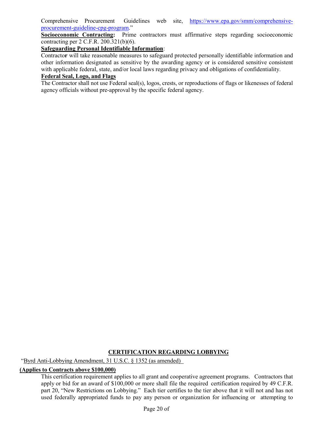Comprehensive Procurement Guidelines web site, [https://www.epa.gov/smm/comprehensive](https://www.epa.gov/smm/comprehensive-procurement-guideline-cpg-program)[procurement-guideline-cpg-program.](https://www.epa.gov/smm/comprehensive-procurement-guideline-cpg-program)"

**Socioeconomic Contracting:** Prime contractors must affirmative steps regarding socioeconomic contracting per 2 C.F.R. 200.321(b)(6).

#### **Safeguarding Personal Identifiable Information**:

Contracto**r** will take reasonable measures to safeguard protected personally identifiable information and other information designated as sensitive by the awarding agency or is considered sensitive consistent with applicable federal, state, and/or local laws regarding privacy and obligations of confidentiality.

#### **Federal Seal, Logo, and Flags**

The Contractor shall not use Federal seal(s), logos, crests, or reproductions of flags or likenesses of federal agency officials without pre-approval by the specific federal agency.

#### **CERTIFICATION REGARDING LOBBYING**

"Byrd Anti-Lobbying Amendment, 31 U.S.C. § 1352 (as amended)

#### **(Applies to Contracts above \$100,000)**

This certification requirement applies to all grant and cooperative agreement programs. Contractors that apply or bid for an award of \$100,000 or more shall file the required certification required by 49 C.F.R. part 20, "New Restrictions on Lobbying." Each tier certifies to the tier above that it will not and has not used federally appropriated funds to pay any person or organization for influencing or attempting to